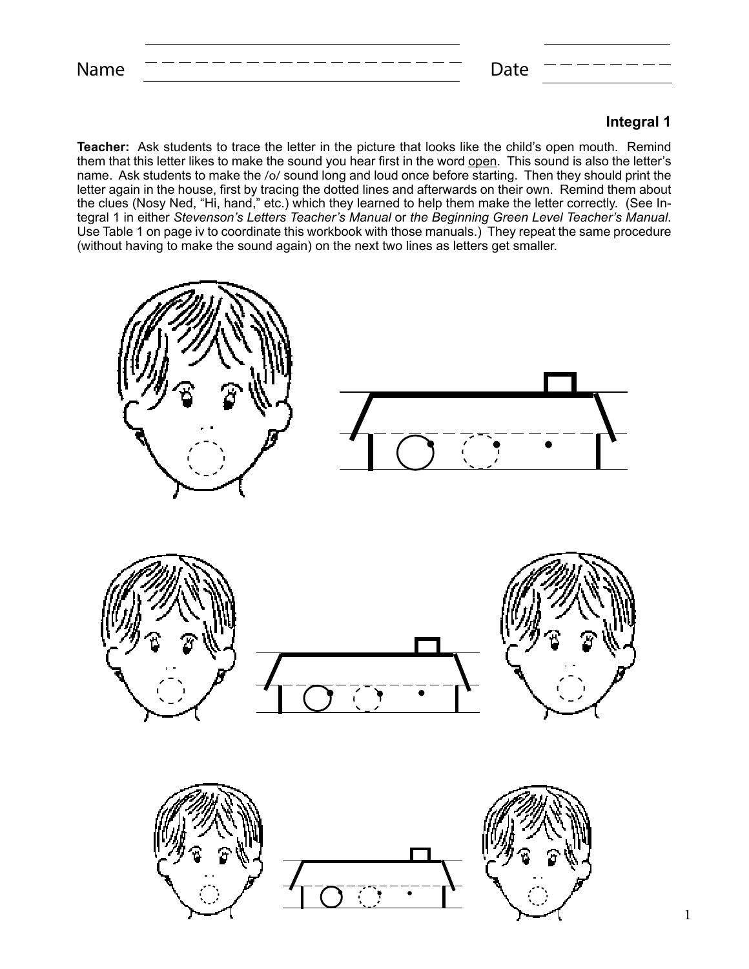## **Integral 1**

**Teacher:** Ask students to trace the letter in the picture that looks like the child's open mouth. Remind them that this letter likes to make the sound you hear first in the word open. This sound is also the letter's name. Ask students to make the /o/ sound long and loud once before starting. Then they should print the letter again in the house, first by tracing the dotted lines and afterwards on their own. Remind them about the clues (Nosy Ned, "Hi, hand," etc.) which they learned to help them make the letter correctly. (See Integral 1 in either *Stevenson's Letters Teacher's Manual* or *the Beginning Green Level Teacher's Manual*. Use Table 1 on page iv to coordinate this workbook with those manuals.) They repeat the same procedure (without having to make the sound again) on the next two lines as letters get smaller.

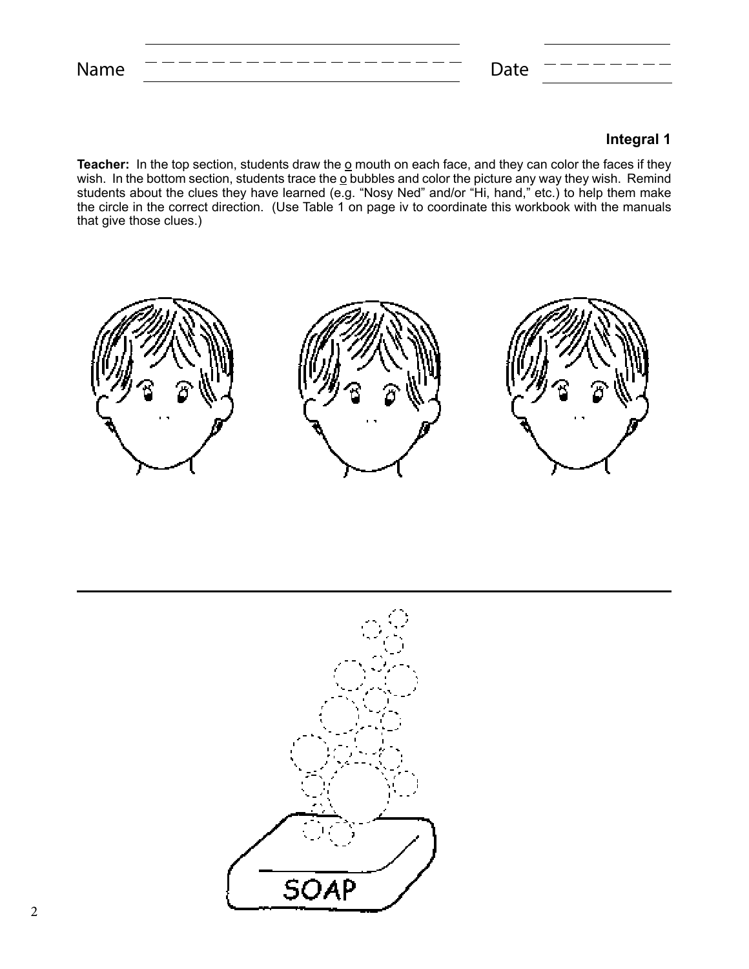Name  $------------------$  Date

## **Integral 1**

**Teacher:** In the top section, students draw the <u>o</u> mouth on each face, and they can color the faces if they wish. In the bottom section, students trace the  $\underline{o}$  bubbles and color the picture any way they wish. Remind students about the clues they have learned (e.g. "Nosy Ned" and/or "Hi, hand," etc.) to help them make the circle in the correct direction. (Use Table 1 on page iv to coordinate this workbook with the manuals that give those clues.)



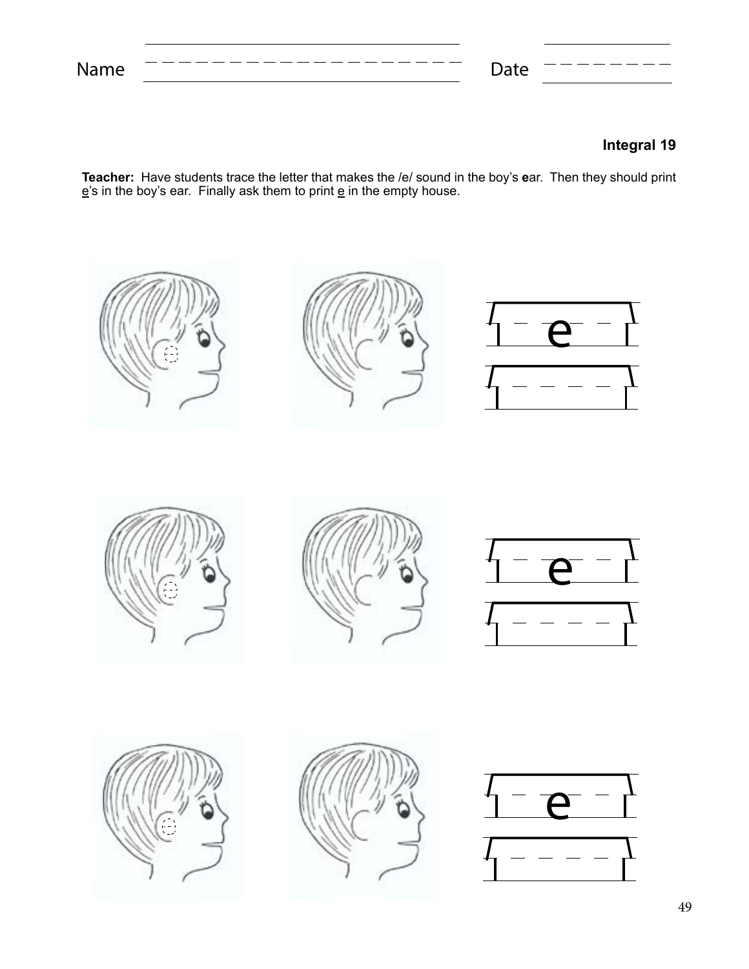Name Date

## **Integral 19**

**Teacher:** Have students trace the letter that makes the /e/ sound in the boy's **e**ar. Then they should print  $\underline{\mathbf{e}}$ 's in the boy's ear. Finally ask them to print  $\underline{\mathbf{e}}$  in the empty house.